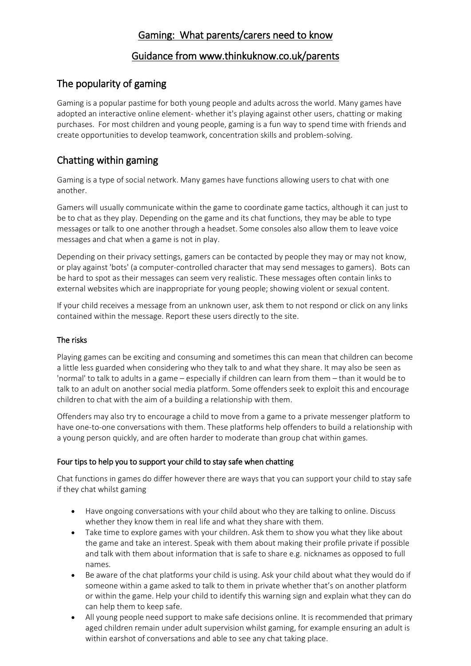## Gaming: What parents/carers need to know

### Guidance from www.thinkuknow.co.uk/parents

# The popularity of gaming

Gaming is a popular pastime for both young people and adults across the world. Many games have adopted an interactive online element- whether it's playing against other users, chatting or making purchases. For most children and young people, gaming is a fun way to spend time with friends and create opportunities to develop teamwork, concentration skills and problem-solving.

# Chatting within gaming

Gaming is a type of social network. Many games have functions allowing users to chat with one another.

Gamers will usually communicate within the game to coordinate game tactics, although it can just to be to chat as they play. Depending on the game and its chat functions, they may be able to type messages or talk to one another through a headset. Some consoles also allow them to leave voice messages and chat when a game is not in play.

Depending on their privacy settings, gamers can be contacted by people they may or may not know, or play against 'bots' (a computer-controlled character that may send messages to gamers). Bots can be hard to spot as their messages can seem very realistic. These messages often contain links to external websites which are inappropriate for young people; showing violent or sexual content.

If your child receives a message from an unknown user, ask them to not respond or click on any links contained within the message. Report these users directly to the site.

### The risks

Playing games can be exciting and consuming and sometimes this can mean that children can become a little less guarded when considering who they talk to and what they share. It may also be seen as 'normal' to talk to adults in a game – especially if children can learn from them – than it would be to talk to an adult on another social media platform. Some offenders seek to exploit this and encourage children to chat with the aim of a building a relationship with them.

Offenders may also try to encourage a child to move from a game to a private messenger platform to have one-to-one conversations with them. These platforms help offenders to build a relationship with a young person quickly, and are often harder to moderate than group chat within games.

### Four tips to help you to support your child to stay safe when chatting

Chat functions in games do differ however there are ways that you can support your child to stay safe if they chat whilst gaming

- Have ongoing conversations with your child about who they are talking to online. Discuss whether they know them in real life and what they share with them.
- Take time to explore games with your children. Ask them to show you what they like about the game and take an interest. Speak with them about making their profile private if possible and talk with them about information that is safe to share e.g. nicknames as opposed to full names.
- Be aware of the chat platforms your child is using. Ask your child about what they would do if someone within a game asked to talk to them in private whether that's on another platform or within the game. Help your child to identify this warning sign and explain what they can do can help them to keep safe.
- All young people need support to make safe decisions online. It is recommended that primary aged children remain under adult supervision whilst gaming, for example ensuring an adult is within earshot of conversations and able to see any chat taking place.